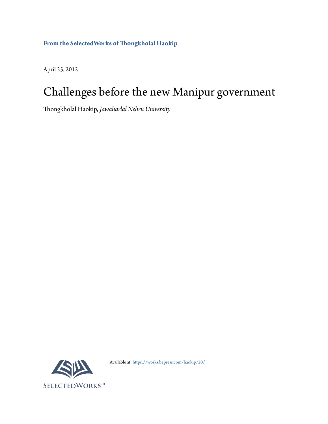April 25, 2012

## Challenges before the new Manipur government

hongkholal Haokip, *Jawaharlal Nehru University*



Available at: [htps://works.bepress.com/haokip/20/](https://works.bepress.com/haokip/20/)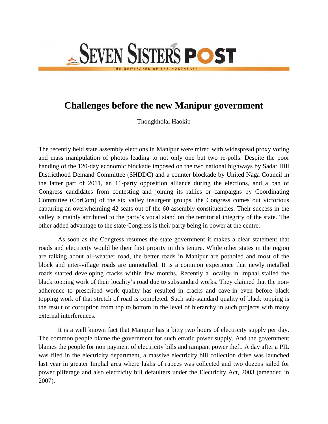## **Challenges before the new Manipur government**

**SEVEN SISTERS POST** 

Thongkholal Haokip

The recently held state assembly elections in Manipur were mired with widespread proxy voting and mass manipulation of photos leading to not only one but two re-polls. Despite the poor handing of the 120-day economic blockade imposed on the two national highways by Sadar Hill Districthood Demand Committee (SHDDC) and a counter blockade by United Naga Council in the latter part of 2011, an 11-party opposition alliance during the elections, and a ban of Congress candidates from contesting and joining its rallies or campaigns by Coordinating Committee (CorCom) of the six valley insurgent groups, the Congress comes out victorious capturing an overwhelming 42 seats out of the 60 assembly constituencies. Their success in the valley is mainly attributed to the party's vocal stand on the territorial integrity of the state. The other added advantage to the state Congress is their party being in power at the centre.

As soon as the Congress resumes the state government it makes a clear statement that roads and electricity would be their first priority in this tenure. While other states in the region are talking about all-weather road, the better roads in Manipur are potholed and most of the block and inter-village roads are unmetalled. It is a common experience that newly metalled roads started developing cracks within few months. Recently a locality in Imphal stalled the black topping work of their locality's road due to substandard works. They claimed that the nonadherence to prescribed work quality has resulted in cracks and cave-in even before black topping work of that stretch of road is completed. Such sub-standard quality of black topping is the result of corruption from top to bottom in the level of hierarchy in such projects with many external interferences.

It is a well known fact that Manipur has a bitty two hours of electricity supply per day. The common people blame the government for such erratic power supply. And the government blames the people for non payment of electricity bills and rampant power theft. A day after a PIL was filed in the electricity department, a massive electricity bill collection drive was launched last year in greater Imphal area where lakhs of rupees was collected and two dozens jailed for power pilferage and also electricity bill defaulters under the Electricity Act, 2003 (amended in 2007).